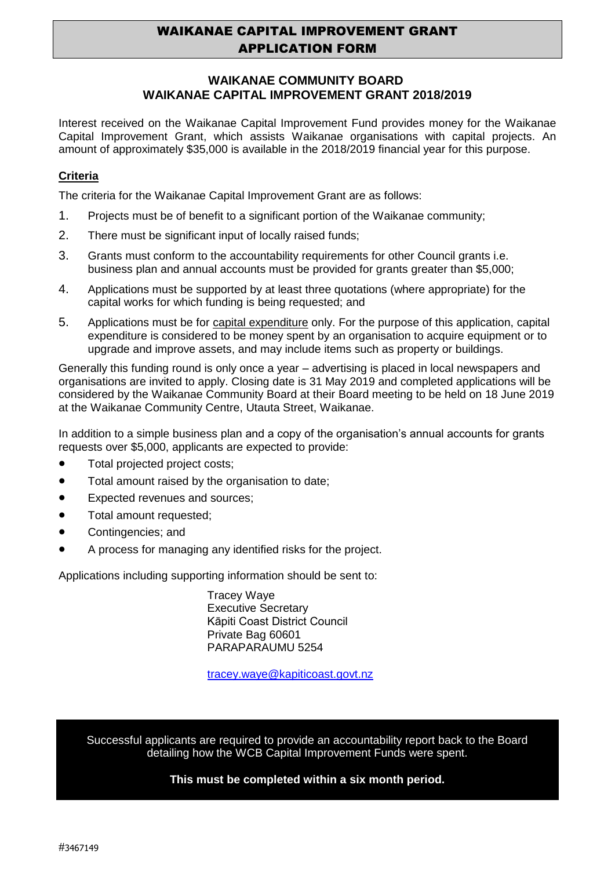# WAIKANAE CAPITAL IMPROVEMENT GRANT APPLICATION FORM

## **WAIKANAE COMMUNITY BOARD WAIKANAE CAPITAL IMPROVEMENT GRANT 2018/2019**

Interest received on the Waikanae Capital Improvement Fund provides money for the Waikanae Capital Improvement Grant, which assists Waikanae organisations with capital projects. An amount of approximately \$35,000 is available in the 2018/2019 financial year for this purpose.

### **Criteria**

The criteria for the Waikanae Capital Improvement Grant are as follows:

- 1. Projects must be of benefit to a significant portion of the Waikanae community;
- 2. There must be significant input of locally raised funds;
- 3. Grants must conform to the accountability requirements for other Council grants i.e. business plan and annual accounts must be provided for grants greater than \$5,000;
- 4. Applications must be supported by at least three quotations (where appropriate) for the capital works for which funding is being requested; and
- 5. Applications must be for capital expenditure only. For the purpose of this application, capital expenditure is considered to be money spent by an organisation to acquire equipment or to upgrade and improve assets, and may include items such as property or buildings.

Generally this funding round is only once a year – advertising is placed in local newspapers and organisations are invited to apply. Closing date is 31 May 2019 and completed applications will be considered by the Waikanae Community Board at their Board meeting to be held on 18 June 2019 at the Waikanae Community Centre, Utauta Street, Waikanae.

In addition to a simple business plan and a copy of the organisation's annual accounts for grants requests over \$5,000, applicants are expected to provide:

- Total projected project costs;
- Total amount raised by the organisation to date;
- Expected revenues and sources;
- Total amount requested:
- Contingencies; and
- A process for managing any identified risks for the project.

Applications including supporting information should be sent to:

Tracey Waye Executive Secretary Kāpiti Coast District Council Private Bag 60601 PARAPARAUMU 5254

[tracey.waye@kapiticoast.govt.nz](mailto:tracey.waye@kapiticoast.govt.nz)

Successful applicants are required to provide an accountability report back to the Board detailing how the WCB Capital Improvement Funds were spent.

#### **This must be completed within a six month period.**